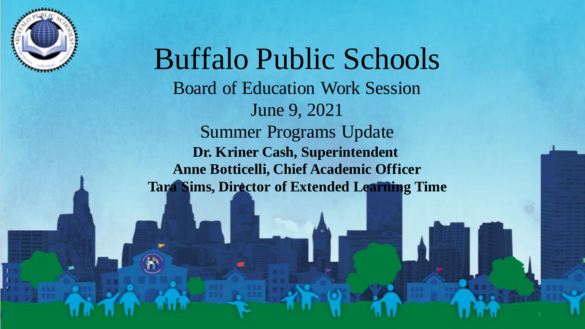

Buffalo Public Schools Board of Education Work Session June 9, 2021 Summer Programs Update **Dr. Kriner Cash, Superintendent Anne Botticelli, Chief Academic Officer Tara Sims, Director of Extended Learning Time**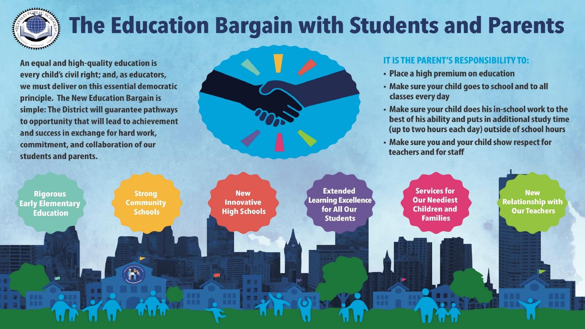

## The Education Bargain with Students and Parents

An equal and high-quality education is every child's civil right; and, as educators, we must deliver on this essential democratic principle. The New Education Bargain is simple: The District will guarantee pathways to opportunity that will lead to achievement and success in exchange for hard work, commitment, and collaboration of our students and parents.

#### IT IS THE PARENT'S RESPONSIBILITY TO:

- Place a high premium on education
- Make sure your child goes to school and to all classes every day
- Make sure your child does his in-school work to the best of his ability and puts in additional study time (up to two hours each day) outside of school hours
- Make sure you and your child show respect for teachers and for staff

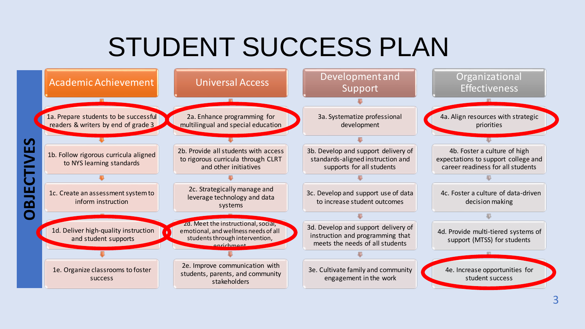# STUDENT SUCCESS PLAN

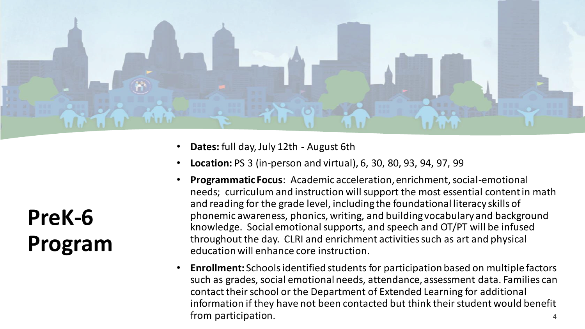

- **Dates:** full day, July 12th August 6th
- **Location:** PS 3 (in-person and virtual), 6, 30, 80, 93, 94, 97, 99
- **Programmatic Focus**: Academic acceleration, enrichment, social-emotional needs; curriculum and instruction will support the most essential content in math and reading for the grade level, including the foundational literacy skills of phonemic awareness, phonics, writing, and building vocabulary and background knowledge. Social emotional supports, and speech and OT/PT will be infused throughout the day. CLRI and enrichment activities such as art and physical education will enhance core instruction.
- **Enrollment:** Schools identified students for participation based on multiple factors such as grades, social emotional needs, attendance, assessment data. Families can contact their school or the Department of Extended Learning for additional information if they have not been contacted but think their student would benefit from participation. <sup>4</sup>

**PreK-6 Program**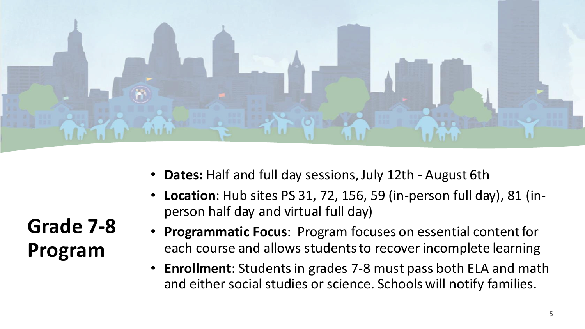

- **Dates:** Half and full day sessions, July 12th August 6th
	- **Location**: Hub sites PS 31, 72, 156, 59 (in-person full day), 81 (inperson half day and virtual full day)
- **Programmatic Focus**: Program focuses on essential content for each course and allows students to recover incomplete learning
- **Enrollment**: Students in grades 7-8 must pass both ELA and math and either social studies or science. Schools will notify families.

**Grade 7-8 Program**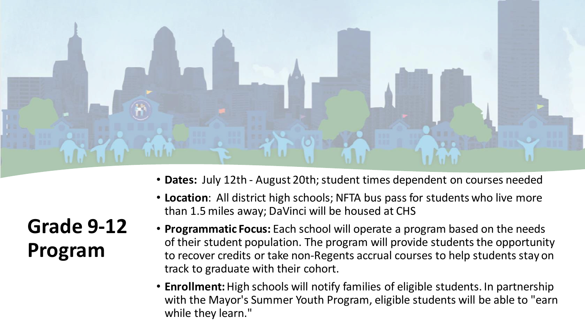

• **Dates:** July 12th - August 20th; student times dependent on courses needed

# **Grade 9-12 Program**

- **Location**: All district high schools; NFTA bus pass for students who live more than 1.5 miles away; DaVinci will be housed at CHS
- **Programmatic Focus:** Each school will operate a program based on the needs of their student population. The program will provide students the opportunity to recover credits or take non-Regents accrual courses to help students stay on track to graduate with their cohort.
- **Enrollment:**High schools will notify families of eligible students. In partnership with the Mayor's Summer Youth Program, eligible students will be able to "earn while they learn."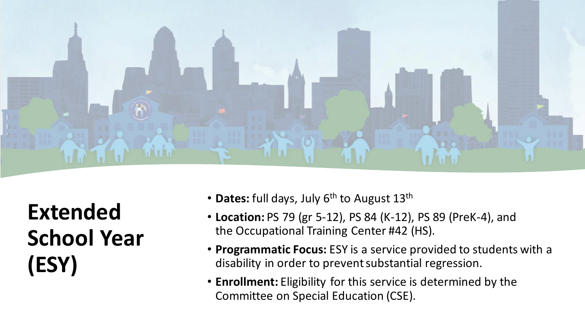

**Extended School Year (ESY)**

- **Dates:** full days, July 6<sup>th</sup> to August 13<sup>th</sup>
- **Location:** PS 79 (gr 5-12), PS 84 (K-12), PS 89 (PreK-4), and the Occupational Training Center #42 (HS).
- **Programmatic Focus:** ESY is a service provided to students with a disability in order to prevent substantial regression.
- **Enrollment:** Eligibility for this service is determined by the Committee on Special Education (CSE).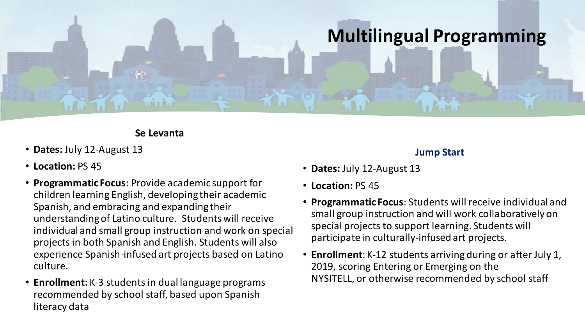## **Multilingual Programming**

#### **Se Levanta**

- **Dates:** July 12-August 13
- **Location:** PS 45
- **Programmatic Focus**: Provide academic support for children learning English, developing their academic Spanish, and embracing and expanding their understanding of Latino culture. Students will receive individual and small group instruction and work on special projects in both Spanish and English. Students will also experience Spanish-infused art projects based on Latino culture.
- **Enrollment:** K-3 students in dual language programs recommended by school staff, based upon Spanish literacy data

#### **Jump Start**

- **Dates:** July 12-August 13
- **Location:** PS 45
- **Programmatic Focus**: Students will receive individual and small group instruction and will work collaboratively on special projects to support learning. Students will participate in culturally-infused art projects.
- **Enrollment**: K-12 students arriving during or after July 1, 2019, scoring Entering or Emerging on the NYSITELL, or otherwise recommended by school staff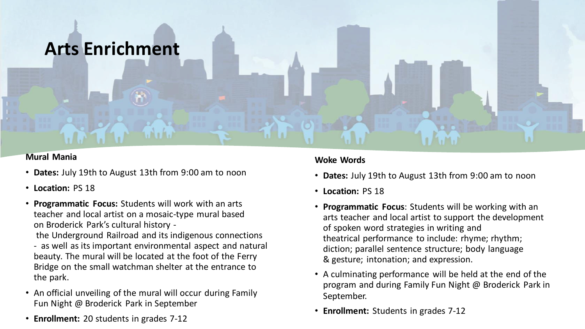### **Arts Enrichment**

#### **Mural Mania**

- **Dates:** July 19th to August 13th from 9:00 am to noon
- **Location:** PS 18
- **Programmatic Focus:** Students will work with an arts teacher and local artist on a mosaic-type mural based on Broderick Park's cultural history -

the Underground Railroad and its indigenous connections - as well as its important environmental aspect and natural beauty. The mural will be located at the foot of the Ferry Bridge on the small watchman shelter at the entrance to the park.

- An official unveiling of the mural will occur during Family Fun Night @ Broderick Park in September
- **Enrollment:** 20 students in grades 7-12

#### **Woke Words**

- **Dates:** July 19th to August 13th from 9:00 am to noon
- **Location:** PS 18
- **Programmatic Focus**: Students will be working with an arts teacher and local artist to support the development of spoken word strategies in writing and theatrical performance to include: rhyme; rhythm; diction; parallel sentence structure; body language & gesture; intonation; and expression.
- A culminating performance will be held at the end of the program and during Family Fun Night @ Broderick Park in September.
- **Enrollment:** Students in grades 7-12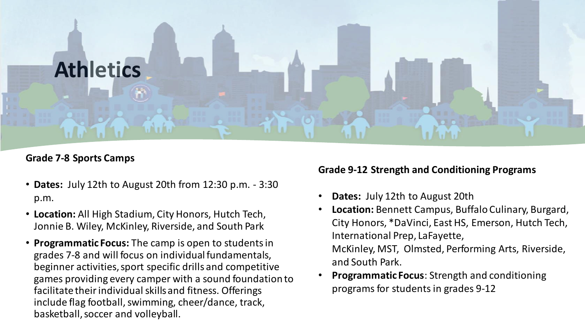# **Athletics**

#### **Grade 7-8 Sports Camps**

- **Dates:** July 12th to August 20th from 12:30 p.m. 3:30 p.m.
- **Location:** All High Stadium, City Honors, Hutch Tech, Jonnie B. Wiley, McKinley, Riverside, and South Park
- **Programmatic Focus:** The camp is open to students in grades 7-8 and will focus on individual fundamentals, beginner activities, sport specific drills and competitive games providing every camper with a sound foundation to facilitate their individual skills and fitness. Offerings include flag football, swimming, cheer/dance, track, basketball, soccer and volleyball.

#### **Grade 9-12 Strength and Conditioning Programs**

- **Dates:** July 12th to August 20th
- **Location:** Bennett Campus, Buffalo Culinary, Burgard, City Honors, \*DaVinci, East HS, Emerson, Hutch Tech, International Prep, LaFayette, McKinley, MST, Olmsted, Performing Arts, Riverside, and South Park.
- **Programmatic Focus**: Strength and conditioning programs for students in grades 9-12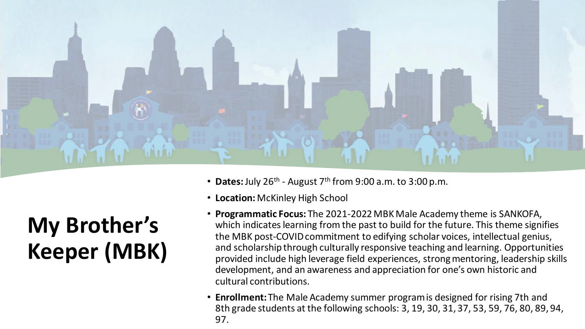

#### • Dates: July 26<sup>th</sup> - August 7<sup>th</sup> from 9:00 a.m. to 3:00 p.m.

- **Location:** McKinley High School
- **Programmatic Focus:** The 2021-2022 MBK Male Academy theme is SANKOFA, which indicates learning from the past to build for the future. This theme signifies the MBK post-COVID commitment to edifying scholar voices, intellectual genius, and scholarship through culturally responsive teaching and learning. Opportunities provided include high leverage field experiences, strong mentoring, leadership skills development, and an awareness and appreciation for one's own historic and cultural contributions.
- **Enrollment:**The Male Academy summer program is designed for rising 7th and 8th grade students at the following schools: 3, 19, 30, 31, 37, 53, 59, 76, 80, 89, 94, 97.

# **My Brother's Keeper (MBK)**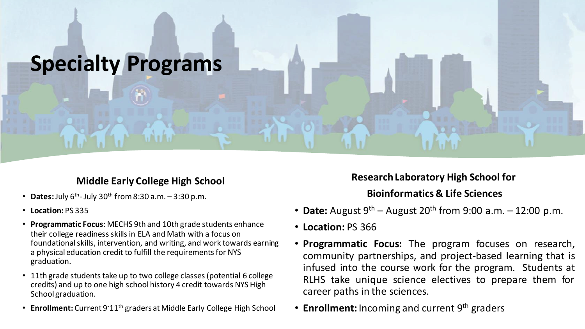## **Specialty Programs**

#### **Middle Early College High School**

- **Dates:** July  $6^{th}$  July  $30^{th}$  from  $8:30$  a.m.  $-3:30$  p.m.
- **Location:** PS 335
- **Programmatic Focus**: MECHS 9th and 10th grade students enhance their college readiness skills in ELA and Math with a focus on foundational skills, intervention, and writing, and work towards earning a physical education credit to fulfill the requirements for NYS graduation.
- 11th grade students take up to two college classes (potential 6 college credits) and up to one high school history 4 credit towards NYS High School graduation.
- **Enrollment:** Current 9<sup>-</sup>11<sup>th</sup> graders at Middle Early College High School

#### **Research Laboratory High School for**

#### **Bioinformatics & Life Sciences**

- **Date:** August  $9^{th}$  August  $20^{th}$  from  $9:00$  a.m. 12:00 p.m.
- **Location:** PS 366
- **Programmatic Focus:** The program focuses on research, community partnerships, and project-based learning that is infused into the course work for the program. Students at RLHS take unique science electives to prepare them for career paths in the sciences.
- **Enrollment:** Incoming and current 9<sup>th</sup> graders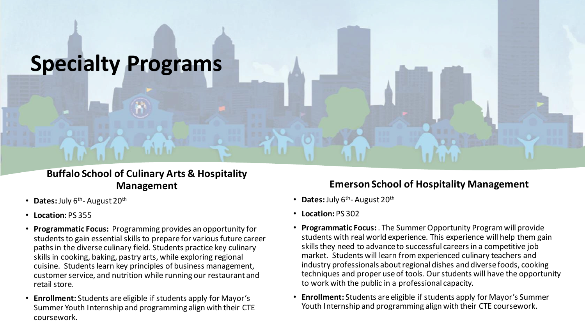## **Specialty Programs**

#### **Buffalo School of Culinary Arts & Hospitality Management**

- Dates: July 6<sup>th</sup>-August 20<sup>th</sup>
- **Location:** PS 355
- **Programmatic Focus:** Programming provides an opportunity for students to gain essential skills to prepare for various future career paths in the diverse culinary field. Students practice key culinary skills in cooking, baking, pastry arts, while exploring regional cuisine. Students learn key principles of business management, customer service, and nutrition while running our restaurant and retail store.
- **Enrollment:** Students are eligible if students apply for Mayor's Summer Youth Internship and programming align with their CTE coursework.

#### **Emerson School of Hospitality Management**

- Dates: July 6<sup>th</sup>-August 20<sup>th</sup>
- **Location:** PS 302
- **Programmatic Focus:** . The Summer Opportunity Program will provide students with real world experience. This experience will help them gain skills they need to advance to successful careers in a competitive job market. Students will learn from experienced culinary teachers and industry professionals about regional dishes and diverse foods, cooking techniques and proper use of tools. Our students will have the opportunity to work with the public in a professional capacity.
- **Enrollment:** Students are eligible if students apply for Mayor's Summer Youth Internship and programming align with their CTE coursework.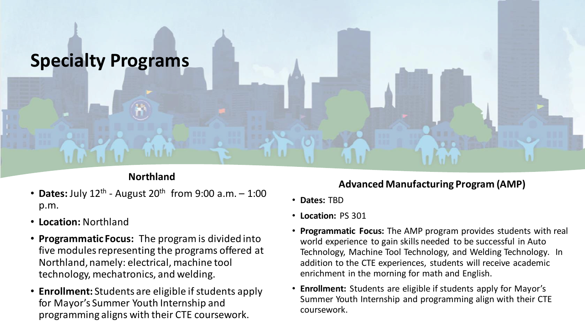

#### **Northland**

- **Dates:** July 12<sup>th</sup> August 20<sup>th</sup> from 9:00 a.m. 1:00 p.m.
- **Location:** Northland
- **Programmatic Focus:** The program is divided into five modules representing the programs offered at Northland, namely: electrical, machine tool technology, mechatronics, and welding.
- **Enrollment:** Students are eligible if students apply for Mayor's Summer Youth Internship and programming aligns with their CTE coursework.

#### **Advanced Manufacturing Program (AMP)**

- **Dates:** TBD
- **Location:** PS 301
- **Programmatic Focus:** The AMP program provides students with real world experience to gain skills needed to be successful in Auto Technology, Machine Tool Technology, and Welding Technology. In addition to the CTE experiences, students will receive academic enrichment in the morning for math and English.
- **Enrollment:** Students are eligible if students apply for Mayor's Summer Youth Internship and programming align with their CTE coursework.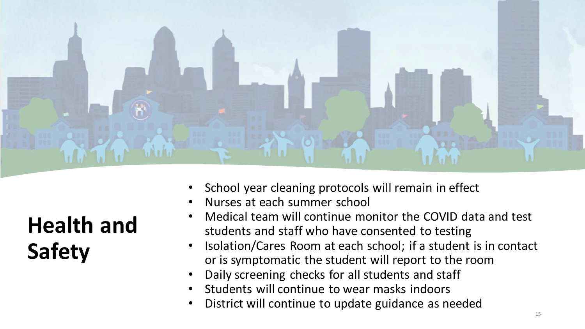

School year cleaning protocols will remain in effect

- Nurses at each summer school
- Medical team will continue monitor the COVID data and test students and staff who have consented to testing
- Isolation/Cares Room at each school; if a student is in contact or is symptomatic the student will report to the room
- Daily screening checks for all students and staff
- Students will continue to wear masks indoors
- District will continue to update guidance as needed

**Health and Safety**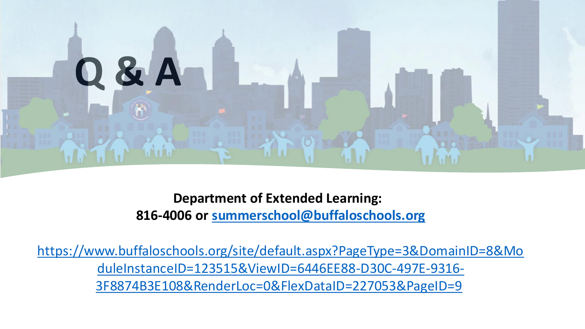

**Department of Extended Learning: 816-4006 or [summerschool@buffaloschools.org](mailto:summerschool@buffaloschools.org)**

[https://www.buffaloschools.org/site/default.aspx?PageType=3&DomainID=8&Mo](https://www.buffaloschools.org/site/default.aspx?PageType=3&DomainID=8&ModuleInstanceID=123515&ViewID=6446EE88-D30C-497E-9316-3F8874B3E108&RenderLoc=0&FlexDataID=227053&PageID=9) duleInstanceID=123515&ViewID=6446EE88-D30C-497E-9316- 3F8874B3E108&RenderLoc=0&FlexDataID=227053&PageID=9